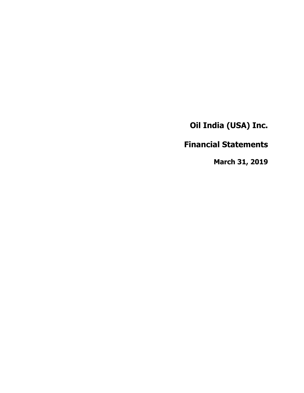**Financial Statements**

**March 31, 2019**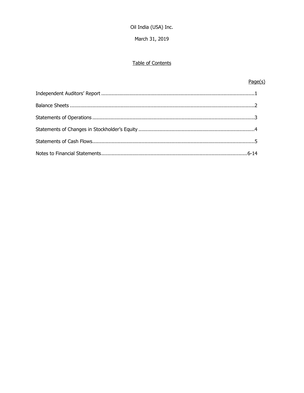March 31, 2019

# Table of Contents

# $Page(s)$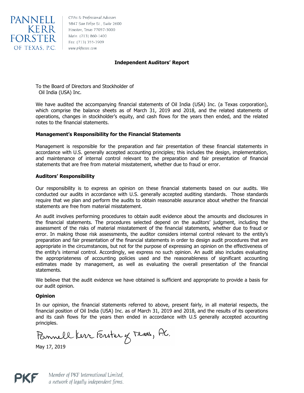

NNELL 5847 San Felipe St., Suite 2600<br>KERR Houston, Texas 77057-3000 Main: (713) 860-1400 Fax: (713) 355-3909

# **Independent Auditors' Report**

To the Board of Directors and Stockholder of Oil India (USA) Inc.

We have audited the accompanying financial statements of Oil India (USA) Inc. (a Texas corporation), which comprise the balance sheets as of March 31, 2019 and 2018, and the related statements of operations, changes in stockholder's equity, and cash flows for the years then ended, and the related notes to the financial statements.

# **Management's Responsibility for the Financial Statements**

Management is responsible for the preparation and fair presentation of these financial statements in accordance with U.S. generally accepted accounting principles; this includes the design, implementation, and maintenance of internal control relevant to the preparation and fair presentation of financial statements that are free from material misstatement, whether due to fraud or error.

# **Auditors' Responsibility**

Our responsibility is to express an opinion on these financial statements based on our audits. We conducted our audits in accordance with U.S. generally accepted auditing standards. Those standards require that we plan and perform the audits to obtain reasonable assurance about whether the financial statements are free from material misstatement.

An audit involves performing procedures to obtain audit evidence about the amounts and disclosures in the financial statements. The procedures selected depend on the auditors' judgment, including the assessment of the risks of material misstatement of the financial statements, whether due to fraud or error. In making those risk assessments, the auditor considers internal control relevant to the entity's preparation and fair presentation of the financial statements in order to design audit procedures that are appropriate in the circumstances, but not for the purpose of expressing an opinion on the effectiveness of the entity's internal control. Accordingly, we express no such opinion. An audit also includes evaluating the appropriateness of accounting policies used and the reasonableness of significant accounting estimates made by management, as well as evaluating the overall presentation of the financial statements.

We believe that the audit evidence we have obtained is sufficient and appropriate to provide a basis for our audit opinion.

# **Opinion**

In our opinion, the financial statements referred to above, present fairly, in all material respects, the financial position of Oil India (USA) Inc. as of March 31, 2019 and 2018, and the results of its operations and its cash flows for the years then ended in accordance with U.S generally accepted accounting principles.

Pannell Kerr Forster y Texas, A.C.

May 17, 2019

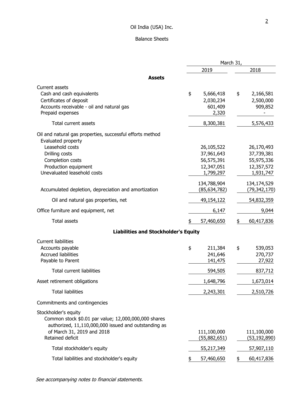# Balance Sheets

|                                                                                                                                                                                                 | March 31,                                                                        |                                                                                  |  |
|-------------------------------------------------------------------------------------------------------------------------------------------------------------------------------------------------|----------------------------------------------------------------------------------|----------------------------------------------------------------------------------|--|
|                                                                                                                                                                                                 | 2019                                                                             | 2018                                                                             |  |
| <b>Assets</b>                                                                                                                                                                                   |                                                                                  |                                                                                  |  |
| Current assets<br>Cash and cash equivalents<br>Certificates of deposit<br>Accounts receivable - oil and natural gas<br>Prepaid expenses                                                         | \$<br>5,666,418<br>2,030,234<br>601,409<br>2,320                                 | \$<br>2,166,581<br>2,500,000<br>909,852                                          |  |
| Total current assets                                                                                                                                                                            | 8,300,381                                                                        | 5,576,433                                                                        |  |
| Oil and natural gas properties, successful efforts method<br>Evaluated property<br>Leasehold costs<br>Drilling costs<br>Completion costs<br>Production equipment<br>Unevaluated leasehold costs | 26,105,522<br>37,961,643<br>56,575,391<br>12,347,051<br>1,799,297<br>134,788,904 | 26,170,493<br>37,739,381<br>55,975,336<br>12,357,572<br>1,931,747<br>134,174,529 |  |
| Accumulated depletion, depreciation and amortization                                                                                                                                            | (85, 634, 782)                                                                   | (79, 342, 170)                                                                   |  |
| Oil and natural gas properties, net                                                                                                                                                             | 49,154,122                                                                       | 54,832,359                                                                       |  |
| Office furniture and equipment, net                                                                                                                                                             | 6,147                                                                            | 9,044                                                                            |  |
| <b>Total assets</b>                                                                                                                                                                             | 57,460,650<br>\$                                                                 | 60,417,836<br>\$                                                                 |  |
| <b>Liabilities and Stockholder's Equity</b>                                                                                                                                                     |                                                                                  |                                                                                  |  |
| <b>Current liabilities</b><br>Accounts payable<br><b>Accrued liabilities</b><br>Payable to Parent<br><b>Total current liabilities</b>                                                           | \$<br>211,384<br>241,646<br>141,475<br>594,505                                   | \$<br>539,053<br>270,737<br>27,922<br>837,712                                    |  |
| Asset retirement obligations                                                                                                                                                                    | 1,648,796                                                                        | 1,673,014                                                                        |  |
| <b>Total liabilities</b>                                                                                                                                                                        | 2,243,301                                                                        | 2,510,726                                                                        |  |
| Commitments and contingencies                                                                                                                                                                   |                                                                                  |                                                                                  |  |
| Stockholder's equity<br>Common stock \$0.01 par value; 12,000,000,000 shares<br>authorized, 11,110,000,000 issued and outstanding as<br>of March 31, 2019 and 2018<br>Retained deficit          | 111,100,000<br>(55,882,651)                                                      | 111,100,000<br>(53, 192, 890)                                                    |  |
| Total stockholder's equity                                                                                                                                                                      | 55,217,349                                                                       | 57,907,110                                                                       |  |
| Total liabilities and stockholder's equity                                                                                                                                                      | 57,460,650<br>\$                                                                 | 60,417,836<br>\$                                                                 |  |

See accompanying notes to financial statements.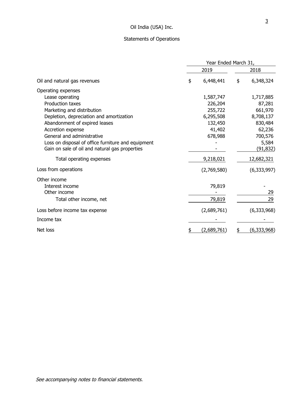# Statements of Operations

|                                                    |    | Year Ended March 31, |    |               |  |
|----------------------------------------------------|----|----------------------|----|---------------|--|
|                                                    |    | 2019                 |    | 2018          |  |
| Oil and natural gas revenues                       | \$ | 6,448,441            | \$ | 6,348,324     |  |
| Operating expenses                                 |    |                      |    |               |  |
| Lease operating                                    |    | 1,587,747            |    | 1,717,885     |  |
| <b>Production taxes</b>                            |    | 226,204              |    | 87,281        |  |
| Marketing and distribution                         |    | 255,722              |    | 661,970       |  |
| Depletion, depreciation and amortization           |    | 6,295,508            |    | 8,708,137     |  |
| Abandonment of expired leases                      |    | 132,450              |    | 830,484       |  |
| Accretion expense                                  |    | 41,402               |    | 62,236        |  |
| General and administrative                         |    | 678,988              |    | 700,576       |  |
| Loss on disposal of office furniture and equipment |    |                      |    | 5,584         |  |
| Gain on sale of oil and natural gas properties     |    |                      |    | (91, 832)     |  |
| Total operating expenses                           |    | 9,218,021            |    | 12,682,321    |  |
| Loss from operations                               |    | (2,769,580)          |    | (6, 333, 997) |  |
| Other income                                       |    |                      |    |               |  |
| Interest income                                    |    | 79,819               |    |               |  |
| Other income                                       |    |                      |    | 29            |  |
| Total other income, net                            |    | 79,819               |    | 29            |  |
| Loss before income tax expense                     |    | (2,689,761)          |    | (6,333,968)   |  |
| Income tax                                         |    |                      |    |               |  |
| Net loss                                           |    | (2,689,761)          |    | (6,333,968)   |  |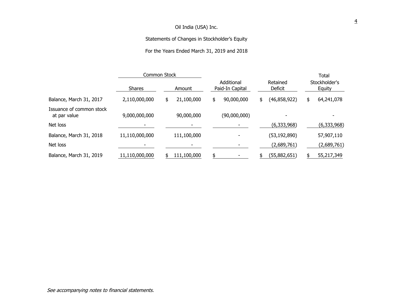# Statements of Changes in Stockholder's Equity

# For the Years Ended March 31, 2019 and 2018

|                                          | Common Stock   |                  |                               |                     | <b>Total</b>            |
|------------------------------------------|----------------|------------------|-------------------------------|---------------------|-------------------------|
|                                          | <b>Shares</b>  | Amount           | Additional<br>Paid-In Capital | Retained<br>Deficit | Stockholder's<br>Equity |
| Balance, March 31, 2017                  | 2,110,000,000  | 21,100,000<br>\$ | 90,000,000<br>\$              | (46,858,922)<br>\$  | 64,241,078<br>\$        |
| Issuance of common stock<br>at par value | 9,000,000,000  | 90,000,000       | (90,000,000)                  |                     |                         |
| Net loss                                 |                |                  |                               | (6,333,968)         | (6,333,968)             |
| Balance, March 31, 2018                  | 11,110,000,000 | 111,100,000      |                               | (53, 192, 890)      | 57,907,110              |
| Net loss                                 |                |                  |                               | (2,689,761)         | (2,689,761)             |
| Balance, March 31, 2019                  | 11,110,000,000 | 111,100,000      |                               | (55,882,651)        | 55,217,349              |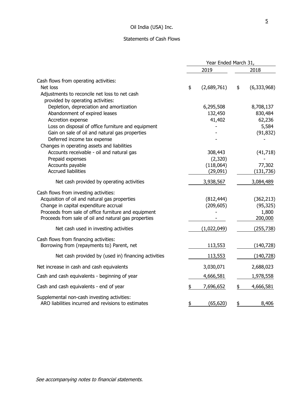# Statements of Cash Flows

|                                                                                                                                                                                                                                                                                                                                                                                            | Year Ended March 31, |                                                      |    |                                                                   |
|--------------------------------------------------------------------------------------------------------------------------------------------------------------------------------------------------------------------------------------------------------------------------------------------------------------------------------------------------------------------------------------------|----------------------|------------------------------------------------------|----|-------------------------------------------------------------------|
|                                                                                                                                                                                                                                                                                                                                                                                            |                      | 2019                                                 |    | 2018                                                              |
| Cash flows from operating activities:<br>Net loss<br>Adjustments to reconcile net loss to net cash                                                                                                                                                                                                                                                                                         | \$                   | (2,689,761)                                          | \$ | (6,333,968)                                                       |
| provided by operating activities:<br>Depletion, depreciation and amortization<br>Abandonment of expired leases<br>Accretion expense<br>Loss on disposal of office furniture and equipment<br>Gain on sale of oil and natural gas properties<br>Deferred income tax expense<br>Changes in operating assets and liabilities<br>Accounts receivable - oil and natural gas<br>Prepaid expenses |                      | 6,295,508<br>132,450<br>41,402<br>308,443<br>(2,320) |    | 8,708,137<br>830,484<br>62,236<br>5,584<br>(91, 832)<br>(41, 718) |
| Accounts payable<br><b>Accrued liabilities</b><br>Net cash provided by operating activities                                                                                                                                                                                                                                                                                                |                      | (118,064)<br>(29,091)<br>3,938,567                   |    | 77,302<br>(131, 736)<br>3,084,489                                 |
| Cash flows from investing activities:<br>Acquisition of oil and natural gas properties<br>Change in capital expenditure accrual<br>Proceeds from sale of office furniture and equipment<br>Proceeds from sale of oil and natural gas properties<br>Net cash used in investing activities                                                                                                   |                      | (812, 444)<br>(209, 605)<br>(1,022,049)              |    | (362, 213)<br>(95, 325)<br>1,800<br>200,000<br>(255, 738)         |
| Cash flows from financing activities:<br>Borrowing from (repayments to) Parent, net<br>Net cash provided by (used in) financing activities                                                                                                                                                                                                                                                 |                      | 113,553<br>113,553                                   |    | (140, 728)<br>(140, 728)                                          |
| Net increase in cash and cash equivalents<br>Cash and cash equivalents - beginning of year                                                                                                                                                                                                                                                                                                 |                      | 3,030,071<br>4,666,581                               |    | 2,688,023<br>1,978,558                                            |
| Cash and cash equivalents - end of year                                                                                                                                                                                                                                                                                                                                                    | \$                   | 7,696,652                                            | \$ | 4,666,581                                                         |
| Supplemental non-cash investing activities:<br>ARO liabilities incurred and revisions to estimates                                                                                                                                                                                                                                                                                         | \$                   | (65, 620)                                            | \$ | 8,406                                                             |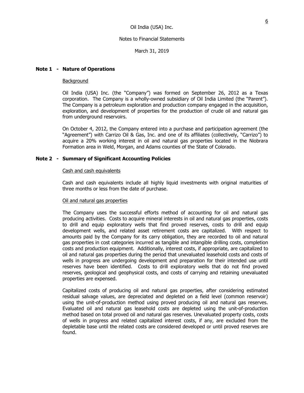March 31, 2019

# **Note 1 - Nature of Operations**

## Background

Oil India (USA) Inc. (the "Company") was formed on September 26, 2012 as a Texas corporation. The Company is a wholly-owned subsidiary of Oil India Limited (the "Parent"). The Company is a petroleum exploration and production company engaged in the acquisition, exploration, and development of properties for the production of crude oil and natural gas from underground reservoirs.

On October 4, 2012, the Company entered into a purchase and participation agreement (the "Agreement") with Carrizo Oil & Gas, Inc. and one of its affiliates (collectively, "Carrizo") to acquire a 20% working interest in oil and natural gas properties located in the Niobrara Formation area in Weld, Morgan, and Adams counties of the State of Colorado.

# **Note 2 - Summary of Significant Accounting Policies**

## Cash and cash equivalents

Cash and cash equivalents include all highly liquid investments with original maturities of three months or less from the date of purchase.

## Oil and natural gas properties

The Company uses the successful efforts method of accounting for oil and natural gas producing activities. Costs to acquire mineral interests in oil and natural gas properties, costs to drill and equip exploratory wells that find proved reserves, costs to drill and equip development wells, and related asset retirement costs are capitalized. With respect to amounts paid by the Company for its carry obligation, they are recorded to oil and natural gas properties in cost categories incurred as tangible and intangible drilling costs, completion costs and production equipment. Additionally, interest costs, if appropriate, are capitalized to oil and natural gas properties during the period that unevaluated leasehold costs and costs of wells in progress are undergoing development and preparation for their intended use until reserves have been identified. Costs to drill exploratory wells that do not find proved reserves, geological and geophysical costs, and costs of carrying and retaining unevaluated properties are expensed.

Capitalized costs of producing oil and natural gas properties, after considering estimated residual salvage values, are depreciated and depleted on a field level (common reservoir) using the unit-of-production method using proved producing oil and natural gas reserves. Evaluated oil and natural gas leasehold costs are depleted using the unit-of-production method based on total proved oil and natural gas reserves. Unevaluated property costs, costs of wells in progress and related capitalized interest costs, if any, are excluded from the depletable base until the related costs are considered developed or until proved reserves are found.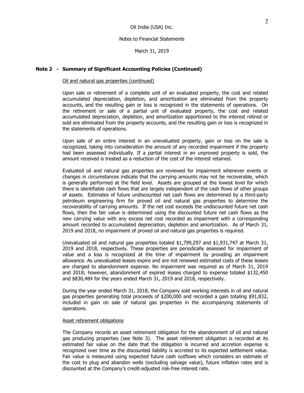March 31, 2019

## **Note 2 - Summary of Significant Accounting Policies (Continued)**

#### Oil and natural gas properties (continued)

Upon sale or retirement of a complete unit of an evaluated property, the cost and related accumulated depreciation, depletion, and amortization are eliminated from the property accounts, and the resulting gain or loss is recognized in the statements of operations. On the retirement or sale of a partial unit of evaluated property, the cost and related accumulated depreciation, depletion, and amortization apportioned to the interest retired or sold are eliminated from the property accounts, and the resulting gain or loss is recognized in the statements of operations.

Upon sale of an entire interest in an unevaluated property, gain or loss on the sale is recognized, taking into consideration the amount of any recorded impairment if the property had been assessed individually. If a partial interest in an unproved property is sold, the amount received is treated as a reduction of the cost of the interest retained.

Evaluated oil and natural gas properties are reviewed for impairment whenever events or changes in circumstances indicate that the carrying amounts may not be recoverable, which is generally performed at the field level. Assets are grouped at the lowest level for which there is identifiable cash flows that are largely independent of the cash flows of other groups of assets. Estimates of future undiscounted net cash flows are determined by a third-party petroleum engineering firm for proved oil and natural gas properties to determine the recoverability of carrying amounts. If the net cost exceeds the undiscounted future net cash flows, then the fair value is determined using the discounted future net cash flows as the new carrying value with any excess net cost recorded as impairment with a corresponding amount recorded to accumulated depreciation, depletion and amortization. As of March 31, 2019 and 2018, no impairment of proved oil and natural gas properties is required.

Unevaluated oil and natural gas properties totaled \$1,799,297 and \$1,931,747 at March 31, 2019 and 2018, respectively. These properties are periodically assessed for impairment of value and a loss is recognized at the time of impairment by providing an impairment allowance. As unevaluated leases expire and are not renewed estimated costs of these leases are charged to abandonment expense. No impairment was required as of March 31, 2019 and 2018; however, abandonment of expired leases charged to expense totaled \$132,450 and \$830,484 for the years ended March 31, 2019 and 2018, respectively.

During the year ended March 31, 2018, the Company sold working interests in oil and natural gas properties generating total proceeds of \$200,000 and recorded a gain totaling \$91,832, included in gain on sale of natural gas properties in the accompanying statements of operations.

#### Asset retirement obligations

The Company records an asset retirement obligation for the abandonment of oil and natural gas producing properties (see Note 3). The asset retirement obligation is recorded at its estimated fair value on the date that the obligation is incurred and accretion expense is recognized over time as the discounted liability is accreted to its expected settlement value. Fair value is measured using expected future cash outflows which considers an estimate of the cost to plug and abandon wells (excluding salvage value), future inflation rates and is discounted at the Company's credit-adjusted risk-free interest rate.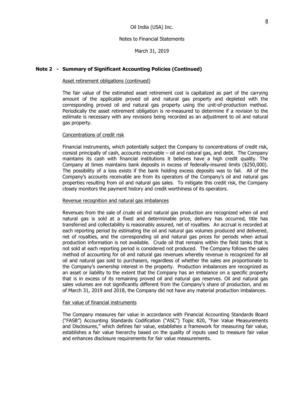### Notes to Financial Statements

March 31, 2019

## **Note 2 - Summary of Significant Accounting Policies (Continued)**

#### Asset retirement obligations (continued)

The fair value of the estimated asset retirement cost is capitalized as part of the carrying amount of the applicable proved oil and natural gas property and depleted with the corresponding proved oil and natural gas property using the unit-of-production method. Periodically the asset retirement obligation is re-measured to determine if a revision to the estimate is necessary with any revisions being recorded as an adjustment to oil and natural gas property.

#### Concentrations of credit risk

Financial instruments, which potentially subject the Company to concentrations of credit risk, consist principally of cash, accounts receivable – oil and natural gas, and debt. The Company maintains its cash with financial institutions it believes have a high credit quality. The Company at times maintains bank deposits in excess of federally-insured limits (\$250,000). The possibility of a loss exists if the bank holding excess deposits was to fail. All of the Company's accounts receivable are from its operators of the Company's oil and natural gas properties resulting from oil and natural gas sales. To mitigate this credit risk, the Company closely monitors the payment history and credit worthiness of its operators.

#### Revenue recognition and natural gas imbalances

Revenues from the sale of crude oil and natural gas production are recognized when oil and natural gas is sold at a fixed and determinable price, delivery has occurred, title has transferred and collectability is reasonably assured, net of royalties. An accrual is recorded at each reporting period by estimating the oil and natural gas volumes produced and delivered, net of royalties, and the corresponding oil and natural gas prices for periods when actual production information is not available. Crude oil that remains within the field tanks that is not sold at each reporting period is considered not produced. The Company follows the sales method of accounting for oil and natural gas revenues whereby revenue is recognized for all oil and natural gas sold to purchasers, regardless of whether the sales are proportionate to the Company's ownership interest in the property. Production imbalances are recognized as an asset or liability to the extent that the Company has an imbalance on a specific property that is in excess of its remaining proved oil and natural gas reserves. Oil and natural gas sales volumes are not significantly different from the Company's share of production, and as of March 31, 2019 and 2018, the Company did not have any material production imbalances.

### Fair value of financial instruments

The Company measures fair value in accordance with Financial Accounting Standards Board ("FASB") Accounting Standards Codification ("ASC") Topic 820, "Fair Value Measurements and Disclosures," which defines fair value, establishes a framework for measuring fair value, establishes a fair value hierarchy based on the quality of inputs used to measure fair value and enhances disclosure requirements for fair value measurements.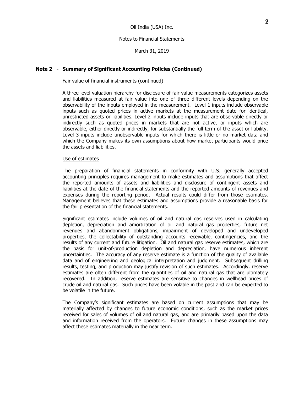March 31, 2019

# **Note 2 - Summary of Significant Accounting Policies (Continued)**

#### Fair value of financial instruments (continued)

A three-level valuation hierarchy for disclosure of fair value measurements categorizes assets and liabilities measured at fair value into one of three different levels depending on the observability of the inputs employed in the measurement. Level 1 inputs include observable inputs such as quoted prices in active markets at the measurement date for identical, unrestricted assets or liabilities. Level 2 inputs include inputs that are observable directly or indirectly such as quoted prices in markets that are not active, or inputs which are observable, either directly or indirectly, for substantially the full term of the asset or liability. Level 3 inputs include unobservable inputs for which there is little or no market data and which the Company makes its own assumptions about how market participants would price the assets and liabilities.

#### Use of estimates

The preparation of financial statements in conformity with U.S. generally accepted accounting principles requires management to make estimates and assumptions that affect the reported amounts of assets and liabilities and disclosure of contingent assets and liabilities at the date of the financial statements and the reported amounts of revenues and expenses during the reporting period. Actual results could differ from those estimates. Management believes that these estimates and assumptions provide a reasonable basis for the fair presentation of the financial statements.

Significant estimates include volumes of oil and natural gas reserves used in calculating depletion, depreciation and amortization of oil and natural gas properties, future net revenues and abandonment obligations, impairment of developed and undeveloped properties, the collectability of outstanding accounts receivable, contingencies, and the results of any current and future litigation. Oil and natural gas reserve estimates, which are the basis for unit-of-production depletion and depreciation, have numerous inherent uncertainties. The accuracy of any reserve estimate is a function of the quality of available data and of engineering and geological interpretation and judgment. Subsequent drilling results, testing, and production may justify revision of such estimates. Accordingly, reserve estimates are often different from the quantities of oil and natural gas that are ultimately recovered. In addition, reserve estimates are sensitive to changes in wellhead prices of crude oil and natural gas. Such prices have been volatile in the past and can be expected to be volatile in the future.

The Company's significant estimates are based on current assumptions that may be materially affected by changes to future economic conditions, such as the market prices received for sales of volumes of oil and natural gas, and are primarily based upon the data and information received from the operators. Future changes in these assumptions may affect these estimates materially in the near term.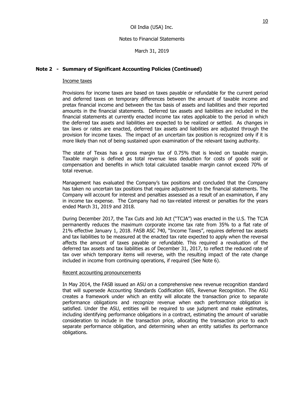March 31, 2019

# **Note 2 - Summary of Significant Accounting Policies (Continued)**

## Income taxes

Provisions for income taxes are based on taxes payable or refundable for the current period and deferred taxes on temporary differences between the amount of taxable income and pretax financial income and between the tax basis of assets and liabilities and their reported amounts in the financial statements. Deferred tax assets and liabilities are included in the financial statements at currently enacted income tax rates applicable to the period in which the deferred tax assets and liabilities are expected to be realized or settled. As changes in tax laws or rates are enacted, deferred tax assets and liabilities are adjusted through the provision for income taxes. The impact of an uncertain tax position is recognized only if it is more likely than not of being sustained upon examination of the relevant taxing authority.

The state of Texas has a gross margin tax of 0.75% that is levied on taxable margin. Taxable margin is defined as total revenue less deduction for costs of goods sold or compensation and benefits in which total calculated taxable margin cannot exceed 70% of total revenue.

Management has evaluated the Company's tax positions and concluded that the Company has taken no uncertain tax positions that require adjustment to the financial statements. The Company will account for interest and penalties assessed as a result of an examination, if any in income tax expense. The Company had no tax-related interest or penalties for the years ended March 31, 2019 and 2018.

During December 2017, the Tax Cuts and Job Act ("TCJA") was enacted in the U.S. The TCJA permanently reduces the maximum corporate income tax rate from 35% to a flat rate of 21% effective January 1, 2018. FASB ASC 740, "Income Taxes", requires deferred tax assets and tax liabilities to be measured at the enacted tax rate expected to apply when the reversal affects the amount of taxes payable or refundable. This required a revaluation of the deferred tax assets and tax liabilities as of December 31, 2017, to reflect the reduced rate of tax over which temporary items will reverse, with the resulting impact of the rate change included in income from continuing operations, if required (See Note 6).

## Recent accounting pronouncements

In May 2014, the FASB issued an ASU on a comprehensive new revenue recognition standard that will supersede Accounting Standards Codification 605, Revenue Recognition. The ASU creates a framework under which an entity will allocate the transaction price to separate performance obligations and recognize revenue when each performance obligation is satisfied. Under the ASU, entities will be required to use judgment and make estimates, including identifying performance obligations in a contract, estimating the amount of variable consideration to include in the transaction price, allocating the transaction price to each separate performance obligation, and determining when an entity satisfies its performance obligations.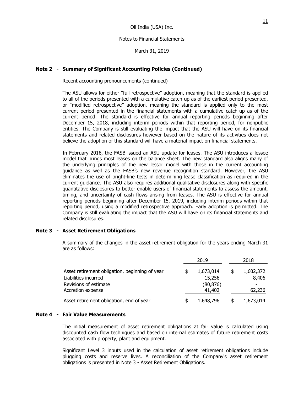March 31, 2019

# **Note 2 - Summary of Significant Accounting Policies (Continued)**

### Recent accounting pronouncements (continued)

The ASU allows for either "full retrospective" adoption, meaning that the standard is applied to all of the periods presented with a cumulative catch-up as of the earliest period presented, or "modified retrospective" adoption, meaning the standard is applied only to the most current period presented in the financial statements with a cumulative catch-up as of the current period. The standard is effective for annual reporting periods beginning after December 15, 2018, including interim periods within that reporting period, for nonpublic entities. The Company is still evaluating the impact that the ASU will have on its financial statements and related disclosures however based on the nature of its activities does not believe the adoption of this standard will have a material impact on financial statements.

In February 2016, the FASB issued an ASU update for leases. The ASU introduces a lessee model that brings most leases on the balance sheet. The new standard also aligns many of the underlying principles of the new lessor model with those in the current accounting guidance as well as the FASB's new revenue recognition standard. However, the ASU eliminates the use of bright-line tests in determining lease classification as required in the current guidance. The ASU also requires additional qualitative disclosures along with specific quantitative disclosures to better enable users of financial statements to assess the amount, timing, and uncertainty of cash flows arising from leases. The ASU is effective for annual reporting periods beginning after December 15, 2019, including interim periods within that reporting period, using a modified retrospective approach. Early adoption is permitted. The Company is still evaluating the impact that the ASU will have on its financial statements and related disclosures.

## **Note 3 - Asset Retirement Obligations**

A summary of the changes in the asset retirement obligation for the years ending March 31 are as follows:

|                                                |  | 2019      |    | 2018      |  |
|------------------------------------------------|--|-----------|----|-----------|--|
| Asset retirement obligation, beginning of year |  | 1,673,014 | \$ | 1,602,372 |  |
| Liabilities incurred                           |  | 15,256    |    | 8,406     |  |
| Revisions of estimate                          |  | (80, 876) |    |           |  |
| Accretion expense                              |  | 41,402    |    | 62,236    |  |
| Asset retirement obligation, end of year       |  | 1,648,796 | S  | 1,673,014 |  |

## **Note 4 - Fair Value Measurements**

The initial measurement of asset retirement obligations at fair value is calculated using discounted cash flow techniques and based on internal estimates of future retirement costs associated with property, plant and equipment.

Significant Level 3 inputs used in the calculation of asset retirement obligations include plugging costs and reserve lives. A reconciliation of the Company's asset retirement obligations is presented in Note 3 - Asset Retirement Obligations.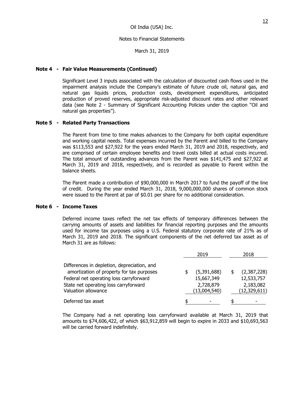March 31, 2019

## **Note 4 - Fair Value Measurements (Continued)**

Significant Level 3 inputs associated with the calculation of discounted cash flows used in the impairment analysis include the Company's estimate of future crude oil, natural gas, and natural gas liquids prices, production costs, development expenditures, anticipated production of proved reserves, appropriate risk-adjusted discount rates and other relevant data (see Note 2 - Summary of Significant Accounting Policies under the caption "Oil and natural gas properties").

### **Note 5 - Related Party Transactions**

The Parent from time to time makes advances to the Company for both capital expenditure and working capital needs. Total expenses incurred by the Parent and billed to the Company was \$113,553 and \$27,922 for the years ended March 31, 2019 and 2018, respectively, and are comprised of certain employee benefits and travel costs billed at actual costs incurred. The total amount of outstanding advances from the Parent was \$141,475 and \$27,922 at March 31, 2019 and 2018, respectively, and is recorded as payable to Parent within the balance sheets.

The Parent made a contribution of \$90,000,000 in March 2017 to fund the payoff of the line of credit. During the year ended March 31, 2018, 9,000,000,000 shares of common stock were issued to the Parent at par of \$0.01 per share for no additional consideration.

#### **Note 6 - Income Taxes**

Deferred income taxes reflect the net tax effects of temporary differences between the carrying amounts of assets and liabilities for financial reporting purposes and the amounts used for income tax purposes using a U.S. Federal statutory corporate rate of 21% as of March 31, 2019 and 2018. The significant components of the net deferred tax asset as of March 31 are as follows:

|                                             | 2019 |              | 2018 |                |
|---------------------------------------------|------|--------------|------|----------------|
| Differences in depletion, depreciation, and |      |              |      |                |
| amortization of property for tax purposes   |      | (5,391,688)  |      | (2,387,228)    |
| Federal net operating loss carryforward     |      | 15,667,349   |      | 12,533,757     |
| State net operating loss carryforward       |      | 2,728,879    |      | 2,183,082      |
| Valuation allowance                         |      | (13,004,540) |      | (12, 329, 611) |
| Deferred tax asset                          |      |              |      |                |

The Company had a net operating loss carryforward available at March 31, 2019 that amounts to \$74,606,422, of which \$63,912,859 will begin to expire in 2033 and \$10,693,563 will be carried forward indefinitely.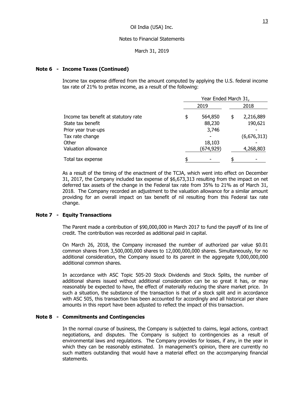March 31, 2019

# **Note 6 - Income Taxes (Continued)**

Income tax expense differed from the amount computed by applying the U.S. federal income tax rate of 21% to pretax income, as a result of the following:

|                                      | Year Ended March 31, |           |    |             |
|--------------------------------------|----------------------|-----------|----|-------------|
|                                      |                      | 2019      |    | 2018        |
| Income tax benefit at statutory rate | \$                   | 564,850   | \$ | 2,216,889   |
| State tax benefit                    |                      | 88,230    |    | 190,621     |
| Prior year true-ups                  |                      | 3,746     |    |             |
| Tax rate change                      |                      |           |    | (6,676,313) |
| Other                                |                      | 18,103    |    |             |
| Valuation allowance                  |                      | (674,929) |    | 4,268,803   |
| Total tax expense                    |                      |           | \$ |             |

As a result of the timing of the enactment of the TCJA, which went into effect on December 31, 2017, the Company included tax expense of \$6,673,313 resulting from the impact on net deferred tax assets of the change in the Federal tax rate from 35% to 21% as of March 31, 2018. The Company recorded an adjustment to the valuation allowance for a similar amount providing for an overall impact on tax benefit of nil resulting from this Federal tax rate change.

# **Note 7 - Equity Transactions**

The Parent made a contribution of \$90,000,000 in March 2017 to fund the payoff of its line of credit. The contribution was recorded as additional paid in capital.

On March 26, 2018, the Company increased the number of authorized par value \$0.01 common shares from 3,500,000,000 shares to 12,000,000,000 shares. Simultaneously, for no additional consideration, the Company issued to its parent in the aggregate 9,000,000,000 additional common shares.

In accordance with ASC Topic 505-20 Stock Dividends and Stock Splits, the number of additional shares issued without additional consideration can be so great it has, or may reasonably be expected to have, the effect of materially reducing the share market price. In such a situation, the substance of the transaction is that of a stock split and in accordance with ASC 505, this transaction has been accounted for accordingly and all historical per share amounts in this report have been adjusted to reflect the impact of this transaction.

# **Note 8 - Commitments and Contingencies**

In the normal course of business, the Company is subjected to claims, legal actions, contract negotiations, and disputes. The Company is subject to contingencies as a result of environmental laws and regulations. The Company provides for losses, if any, in the year in which they can be reasonably estimated. In management's opinion, there are currently no such matters outstanding that would have a material effect on the accompanying financial statements.